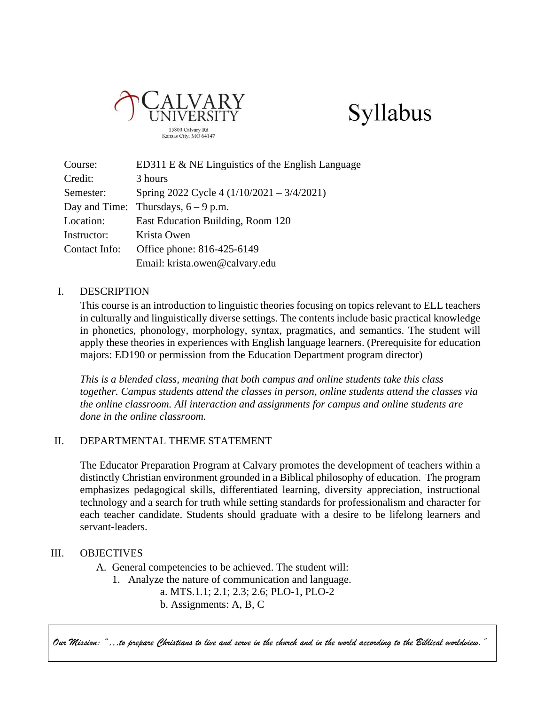



| Course:       | ED311 E & NE Linguistics of the English Language |
|---------------|--------------------------------------------------|
| Credit:       | 3 hours                                          |
| Semester:     | Spring 2022 Cycle 4 $(1/10/2021 - 3/4/2021)$     |
|               | Day and Time: Thursdays, $6 - 9$ p.m.            |
| Location:     | East Education Building, Room 120                |
| Instructor:   | Krista Owen                                      |
| Contact Info: | Office phone: 816-425-6149                       |
|               | Email: krista.owen@calvary.edu                   |

### I. DESCRIPTION

This course is an introduction to linguistic theories focusing on topics relevant to ELL teachers in culturally and linguistically diverse settings. The contents include basic practical knowledge in phonetics, phonology, morphology, syntax, pragmatics, and semantics. The student will apply these theories in experiences with English language learners. (Prerequisite for education majors: ED190 or permission from the Education Department program director)

*This is a blended class, meaning that both campus and online students take this class together. Campus students attend the classes in person, online students attend the classes via the online classroom. All interaction and assignments for campus and online students are done in the online classroom.*

#### II. DEPARTMENTAL THEME STATEMENT

The Educator Preparation Program at Calvary promotes the development of teachers within a distinctly Christian environment grounded in a Biblical philosophy of education. The program emphasizes pedagogical skills, differentiated learning, diversity appreciation, instructional technology and a search for truth while setting standards for professionalism and character for each teacher candidate. Students should graduate with a desire to be lifelong learners and servant-leaders.

#### III. OBJECTIVES

- A. General competencies to be achieved. The student will:
	- 1. Analyze the nature of communication and language.
		- a. MTS.1.1; 2.1; 2.3; 2.6; PLO-1, PLO-2
		- b. Assignments: A, B, C

*Our Mission: "…to prepare Christians to live and serve in the church and in the world according to the Biblical worldview."*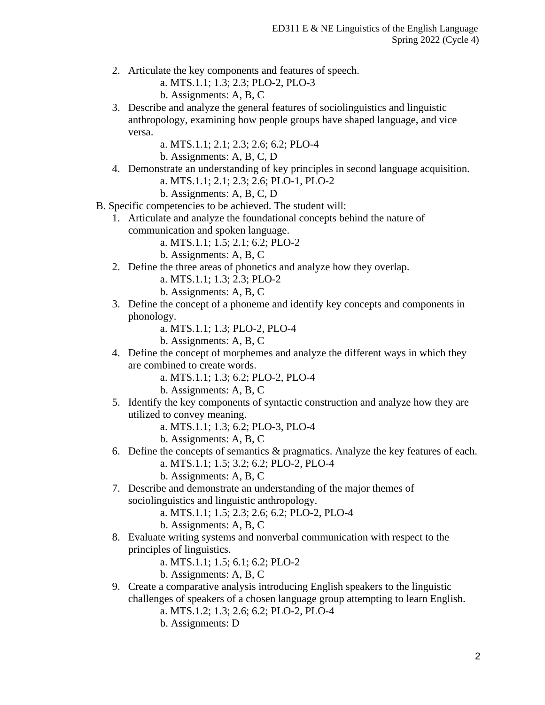- 2. Articulate the key components and features of speech.
	- a. MTS.1.1; 1.3; 2.3; PLO-2, PLO-3
	- b. Assignments: A, B, C
- 3. Describe and analyze the general features of sociolinguistics and linguistic anthropology, examining how people groups have shaped language, and vice versa.
	- a. MTS.1.1; 2.1; 2.3; 2.6; 6.2; PLO-4
	- b. Assignments: A, B, C, D
- 4. Demonstrate an understanding of key principles in second language acquisition.
	- a. MTS.1.1; 2.1; 2.3; 2.6; PLO-1, PLO-2
	- b. Assignments: A, B, C, D
- B. Specific competencies to be achieved. The student will:
	- 1. Articulate and analyze the foundational concepts behind the nature of communication and spoken language.
		- a. MTS.1.1; 1.5; 2.1; 6.2; PLO-2
		- b. Assignments: A, B, C
	- 2. Define the three areas of phonetics and analyze how they overlap.
		- a. MTS.1.1; 1.3; 2.3; PLO-2
		- b. Assignments: A, B, C
	- 3. Define the concept of a phoneme and identify key concepts and components in phonology.
		- a. MTS.1.1; 1.3; PLO-2, PLO-4
		- b. Assignments: A, B, C
	- 4. Define the concept of morphemes and analyze the different ways in which they are combined to create words.
		- a. MTS.1.1; 1.3; 6.2; PLO-2, PLO-4
		- b. Assignments: A, B, C
	- 5. Identify the key components of syntactic construction and analyze how they are utilized to convey meaning.
		- a. MTS.1.1; 1.3; 6.2; PLO-3, PLO-4
		- b. Assignments: A, B, C
	- 6. Define the concepts of semantics  $\&$  pragmatics. Analyze the key features of each.
		- a. MTS.1.1; 1.5; 3.2; 6.2; PLO-2, PLO-4
		- b. Assignments: A, B, C
	- 7. Describe and demonstrate an understanding of the major themes of sociolinguistics and linguistic anthropology.
		- a. MTS.1.1; 1.5; 2.3; 2.6; 6.2; PLO-2, PLO-4
		- b. Assignments: A, B, C
	- 8. Evaluate writing systems and nonverbal communication with respect to the principles of linguistics.
		- a. MTS.1.1; 1.5; 6.1; 6.2; PLO-2
		- b. Assignments: A, B, C
	- 9. Create a comparative analysis introducing English speakers to the linguistic challenges of speakers of a chosen language group attempting to learn English.
		- a. MTS.1.2; 1.3; 2.6; 6.2; PLO-2, PLO-4
		- b. Assignments: D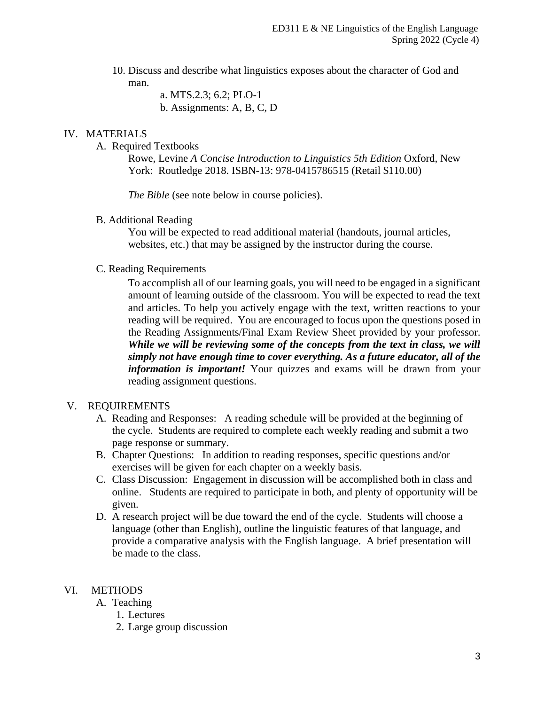10. Discuss and describe what linguistics exposes about the character of God and man.

a. MTS.2.3; 6.2; PLO-1

b. Assignments: A, B, C, D

## IV. MATERIALS

A. Required Textbooks

Rowe, Levine *A Concise Introduction to Linguistics 5th Edition* Oxford, New York: Routledge 2018. ISBN-13: 978-0415786515 (Retail \$110.00)

*The Bible* (see note below in course policies).

B. Additional Reading

You will be expected to read additional material (handouts, journal articles, websites, etc.) that may be assigned by the instructor during the course.

## C. Reading Requirements

To accomplish all of our learning goals, you will need to be engaged in a significant amount of learning outside of the classroom. You will be expected to read the text and articles. To help you actively engage with the text, written reactions to your reading will be required. You are encouraged to focus upon the questions posed in the Reading Assignments/Final Exam Review Sheet provided by your professor. *While we will be reviewing some of the concepts from the text in class, we will simply not have enough time to cover everything. As a future educator, all of the information is important!* Your quizzes and exams will be drawn from your reading assignment questions.

## V. REQUIREMENTS

- A. Reading and Responses: A reading schedule will be provided at the beginning of the cycle. Students are required to complete each weekly reading and submit a two page response or summary.
- B. Chapter Questions: In addition to reading responses, specific questions and/or exercises will be given for each chapter on a weekly basis.
- C. Class Discussion: Engagement in discussion will be accomplished both in class and online. Students are required to participate in both, and plenty of opportunity will be given.
- D. A research project will be due toward the end of the cycle. Students will choose a language (other than English), outline the linguistic features of that language, and provide a comparative analysis with the English language. A brief presentation will be made to the class.

# VI. METHODS

- A. Teaching
	- 1. Lectures
	- 2. Large group discussion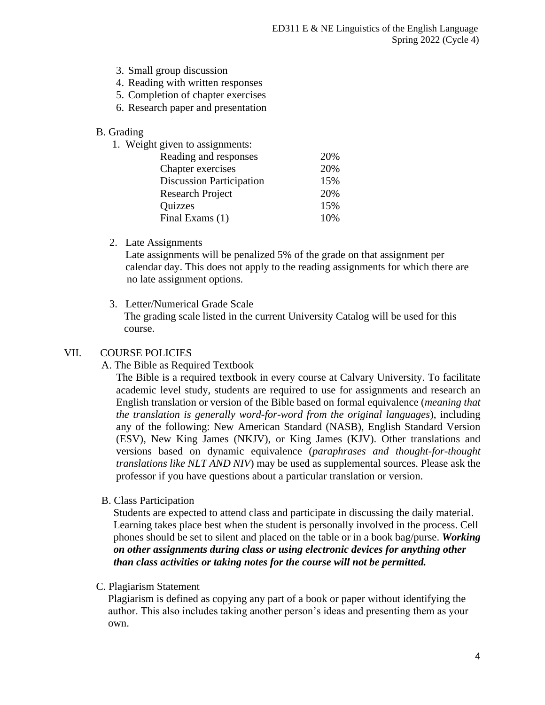- 3. Small group discussion
- 4. Reading with written responses
- 5. Completion of chapter exercises
- 6. Research paper and presentation

#### B. Grading

1. Weight given to assignments:

| Reading and responses           | 20% |
|---------------------------------|-----|
| Chapter exercises               | 20% |
| <b>Discussion Participation</b> | 15% |
| <b>Research Project</b>         | 20% |
| <b>Quizzes</b>                  | 15% |
| Final Exams (1)                 | 10% |
|                                 |     |

2. Late Assignments

 Late assignments will be penalized 5% of the grade on that assignment per calendar day. This does not apply to the reading assignments for which there are no late assignment options.

3. Letter/Numerical Grade Scale

The grading scale listed in the current University Catalog will be used for this course.

#### VII. COURSE POLICIES

A. The Bible as Required Textbook

The Bible is a required textbook in every course at Calvary University. To facilitate academic level study, students are required to use for assignments and research an English translation or version of the Bible based on formal equivalence (*meaning that the translation is generally word-for-word from the original languages*), including any of the following: New American Standard (NASB), English Standard Version (ESV), New King James (NKJV), or King James (KJV). Other translations and versions based on dynamic equivalence (*paraphrases and thought-for-thought translations like NLT AND NIV*) may be used as supplemental sources. Please ask the professor if you have questions about a particular translation or version.

B. Class Participation

 Students are expected to attend class and participate in discussing the daily material. Learning takes place best when the student is personally involved in the process. Cell phones should be set to silent and placed on the table or in a book bag/purse. *Working on other assignments during class or using electronic devices for anything other than class activities or taking notes for the course will not be permitted.*

#### C. Plagiarism Statement

Plagiarism is defined as copying any part of a book or paper without identifying the author. This also includes taking another person's ideas and presenting them as your own.